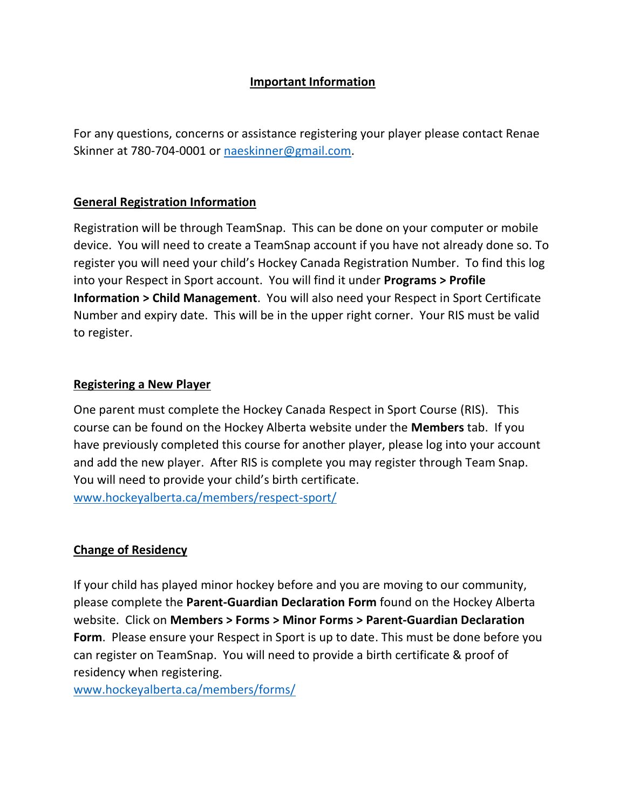# **Important Information**

For any questions, concerns or assistance registering your player please contact Renae Skinner at 780-704-0001 or [naeskinner@gmail.com.](mailto:naeskinner@gmail.com)

## **General Registration Information**

Registration will be through TeamSnap. This can be done on your computer or mobile device. You will need to create a TeamSnap account if you have not already done so. To register you will need your child's Hockey Canada Registration Number. To find this log into your Respect in Sport account. You will find it under **Programs > Profile Information > Child Management**. You will also need your Respect in Sport Certificate Number and expiry date. This will be in the upper right corner. Your RIS must be valid to register.

## **Registering a New Player**

One parent must complete the Hockey Canada Respect in Sport Course (RIS). This course can be found on the Hockey Alberta website under the **Members** tab. If you have previously completed this course for another player, please log into your account and add the new player. After RIS is complete you may register through Team Snap. You will need to provide your child's birth certificate.

[www.hockeyalberta.ca/members/respect-sport/](http://www.hockeyalberta.ca/members/respect-sport/)

# **Change of Residency**

If your child has played minor hockey before and you are moving to our community, please complete the **Parent-Guardian Declaration Form** found on the Hockey Alberta website. Click on **Members > Forms > Minor Forms > Parent-Guardian Declaration Form**. Please ensure your Respect in Sport is up to date. This must be done before you can register on TeamSnap. You will need to provide a birth certificate & proof of residency when registering.

[www.hockeyalberta.ca/members/forms/](https://d.docs.live.net/489c4469a3dbfb28/Documents/www.hockeyalberta.ca/members/forms/)